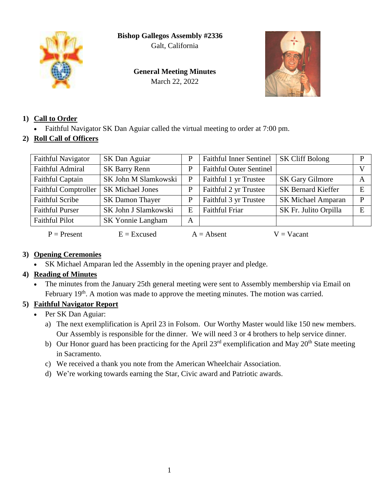**Bishop Gallegos Assembly #2336**

Galt, California



**General Meeting Minutes** March 22, 2022



## **1) Call to Order**

- Faithful Navigator SK Dan Aguiar called the virtual meeting to order at 7:00 pm.
- **2) Roll Call of Officers**

| <b>Faithful Navigator</b>   | SK Dan Aguiar            | P | <b>Faithful Inner Sentinel</b> | <b>SK Cliff Bolong</b>    | P            |
|-----------------------------|--------------------------|---|--------------------------------|---------------------------|--------------|
| <b>Faithful Admiral</b>     | <b>SK Barry Renn</b>     | P | <b>Faithful Outer Sentinel</b> |                           |              |
| Faithful Captain            | SK John M Slamkowski     | P | Faithful 1 yr Trustee          | <b>SK Gary Gilmore</b>    | $\mathsf{A}$ |
| <b>Faithful Comptroller</b> | <b>SK Michael Jones</b>  | P | Faithful 2 yr Trustee          | <b>SK Bernard Kieffer</b> | E            |
| <b>Faithful Scribe</b>      | <b>SK Damon Thayer</b>   | P | Faithful 3 yr Trustee          | <b>SK Michael Amparan</b> | P            |
| <b>Faithful Purser</b>      | SK John J Slamkowski     | E | <b>Faithful Friar</b>          | SK Fr. Julito Orpilla     | E            |
| <b>Faithful Pilot</b>       | <b>SK Yonnie Langham</b> | A |                                |                           |              |
| $P =$ Present               | $E = Excused$            |   | $A = Absent$                   | $V = Vacant$              |              |

## **3) Opening Ceremonies**

SK Michael Amparan led the Assembly in the opening prayer and pledge.

# **4) Reading of Minutes**

 The minutes from the January 25th general meeting were sent to Assembly membership via Email on February 19<sup>th</sup>. A motion was made to approve the meeting minutes. The motion was carried.

# **5) Faithful Navigator Report**

- Per SK Dan Aguiar:
	- a) The next exemplification is April 23 in Folsom. Our Worthy Master would like 150 new members. Our Assembly is responsible for the dinner. We will need 3 or 4 brothers to help service dinner.
	- b) Our Honor guard has been practicing for the April  $23<sup>rd</sup>$  exemplification and May  $20<sup>th</sup>$  State meeting in Sacramento.
	- c) We received a thank you note from the American Wheelchair Association.
	- d) We're working towards earning the Star, Civic award and Patriotic awards.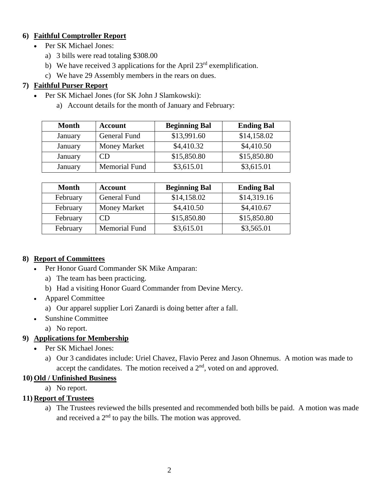#### **6) Faithful Comptroller Report**

- Per SK Michael Jones:
	- a) 3 bills were read totaling \$308.00
	- b) We have received 3 applications for the April  $23<sup>rd</sup>$  exemplification.
	- c) We have 29 Assembly members in the rears on dues.

## **7) Faithful Purser Report**

- Per SK Michael Jones (for SK John J Slamkowski):
	- a) Account details for the month of January and February:

| Month   | <b>Account</b>       | <b>Beginning Bal</b> | <b>Ending Bal</b> |
|---------|----------------------|----------------------|-------------------|
| January | General Fund         | \$13,991.60          | \$14,158.02       |
| January | <b>Money Market</b>  | \$4,410.32           | \$4,410.50        |
| January | CΒ                   | \$15,850.80          | \$15,850.80       |
| January | <b>Memorial Fund</b> | \$3,615.01           | \$3,615.01        |

| <b>Month</b> | <b>Account</b>       | <b>Beginning Bal</b> | <b>Ending Bal</b> |
|--------------|----------------------|----------------------|-------------------|
| February     | General Fund         | \$14,158.02          | \$14,319.16       |
| February     | <b>Money Market</b>  | \$4,410.50           | \$4,410.67        |
| February     | CD                   | \$15,850.80          | \$15,850.80       |
| February     | <b>Memorial Fund</b> | \$3,615.01           | \$3,565.01        |

## **8) Report of Committees**

- Per Honor Guard Commander SK Mike Amparan:
	- a) The team has been practicing.
	- b) Had a visiting Honor Guard Commander from Devine Mercy.
- Apparel Committee
	- a) Our apparel supplier Lori Zanardi is doing better after a fall.
- Sunshine Committee
	- a) No report.

## **9) Applications for Membership**

- Per SK Michael Jones:
	- a) Our 3 candidates include: Uriel Chavez, Flavio Perez and Jason Ohnemus. A motion was made to accept the candidates. The motion received a  $2<sup>nd</sup>$ , voted on and approved.

## **10) Old / Unfinished Business**

a) No report.

## **11) Report of Trustees**

a) The Trustees reviewed the bills presented and recommended both bills be paid. A motion was made and received a  $2<sup>nd</sup>$  to pay the bills. The motion was approved.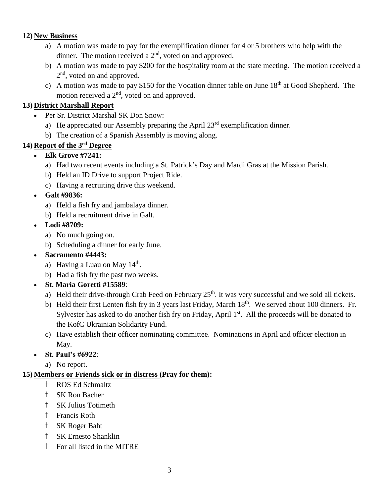#### **12) New Business**

- a) A motion was made to pay for the exemplification dinner for 4 or 5 brothers who help with the dinner. The motion received a  $2<sup>nd</sup>$ , voted on and approved.
- b) A motion was made to pay \$200 for the hospitality room at the state meeting. The motion received a 2<sup>nd</sup>, voted on and approved.
- c) A motion was made to pay \$150 for the Vocation dinner table on June  $18<sup>th</sup>$  at Good Shepherd. The motion received a  $2<sup>nd</sup>$ , voted on and approved.

## **13) District Marshall Report**

- Per Sr. District Marshal SK Don Snow:
	- a) He appreciated our Assembly preparing the April  $23<sup>rd</sup>$  exemplification dinner.
	- b) The creation of a Spanish Assembly is moving along.

# **14) Report of the 3rd Degree**

- **Elk Grove #7241:**
	- a) Had two recent events including a St. Patrick's Day and Mardi Gras at the Mission Parish.
	- b) Held an ID Drive to support Project Ride.
	- c) Having a recruiting drive this weekend.

## **Galt #9836:**

- a) Held a fish fry and jambalaya dinner.
- b) Held a recruitment drive in Galt.
- **Lodi #8709:**
	- a) No much going on.
	- b) Scheduling a dinner for early June.
- **Sacramento #4443:**
	- a) Having a Luau on May  $14<sup>th</sup>$ .
	- b) Had a fish fry the past two weeks.
- **St. Maria Goretti #15589**:
	- a) Held their drive-through Crab Feed on February 25<sup>th</sup>. It was very successful and we sold all tickets.
	- b) Held their first Lenten fish fry in 3 years last Friday, March  $18<sup>th</sup>$ . We served about 100 dinners. Fr. Sylvester has asked to do another fish fry on Friday, April 1<sup>st</sup>. All the proceeds will be donated to the KofC Ukrainian Solidarity Fund.
	- c) Have establish their officer nominating committee. Nominations in April and officer election in May.
- **St. Paul's #6922**:
	- a) No report.

## **15) Members or Friends sick or in distress (Pray for them):**

- † ROS Ed Schmaltz
- † SK Ron Bacher
- † SK Julius Totimeth
- † Francis Roth
- † SK Roger Baht
- † SK Ernesto Shanklin
- † For all listed in the MITRE